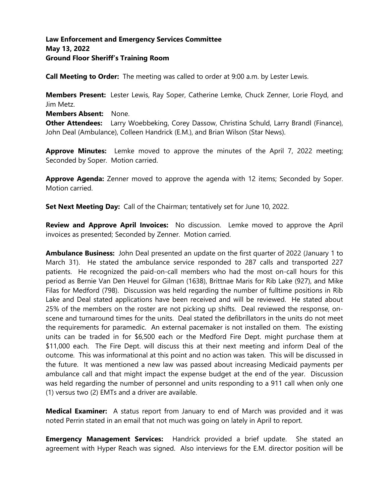### **Law Enforcement and Emergency Services Committee May 13, 2022 Ground Floor Sheriff's Training Room**

**Call Meeting to Order:** The meeting was called to order at 9:00 a.m. by Lester Lewis.

**Members Present:** Lester Lewis, Ray Soper, Catherine Lemke, Chuck Zenner, Lorie Floyd, and Jim Metz.

**Members Absent:** None.

**Other Attendees:** Larry Woebbeking, Corey Dassow, Christina Schuld, Larry Brandl (Finance), John Deal (Ambulance), Colleen Handrick (E.M.), and Brian Wilson (Star News).

**Approve Minutes:** Lemke moved to approve the minutes of the April 7, 2022 meeting; Seconded by Soper. Motion carried.

**Approve Agenda:** Zenner moved to approve the agenda with 12 items; Seconded by Soper. Motion carried.

**Set Next Meeting Day:** Call of the Chairman; tentatively set for June 10, 2022.

**Review and Approve April Invoices:** No discussion. Lemke moved to approve the April invoices as presented; Seconded by Zenner. Motion carried.

**Ambulance Business:** John Deal presented an update on the first quarter of 2022 (January 1 to March 31). He stated the ambulance service responded to 287 calls and transported 227 patients. He recognized the paid-on-call members who had the most on-call hours for this period as Bernie Van Den Heuvel for Gilman (1638), Brittnae Maris for Rib Lake (927), and Mike Filas for Medford (798). Discussion was held regarding the number of fulltime positions in Rib Lake and Deal stated applications have been received and will be reviewed. He stated about 25% of the members on the roster are not picking up shifts. Deal reviewed the response, onscene and turnaround times for the units. Deal stated the defibrillators in the units do not meet the requirements for paramedic. An external pacemaker is not installed on them. The existing units can be traded in for \$6,500 each or the Medford Fire Dept. might purchase them at \$11,000 each. The Fire Dept. will discuss this at their next meeting and inform Deal of the outcome. This was informational at this point and no action was taken. This will be discussed in the future. It was mentioned a new law was passed about increasing Medicaid payments per ambulance call and that might impact the expense budget at the end of the year. Discussion was held regarding the number of personnel and units responding to a 911 call when only one (1) versus two (2) EMTs and a driver are available.

**Medical Examiner:** A status report from January to end of March was provided and it was noted Perrin stated in an email that not much was going on lately in April to report.

**Emergency Management Services:** Handrick provided a brief update. She stated an agreement with Hyper Reach was signed. Also interviews for the E.M. director position will be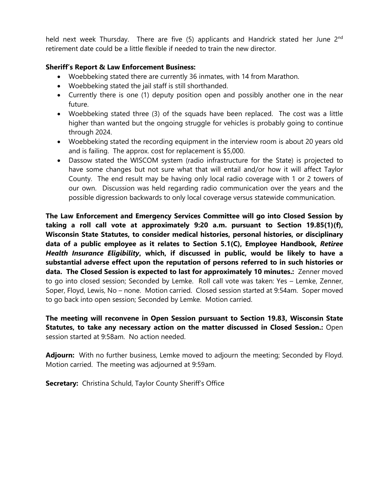held next week Thursday. There are five (5) applicants and Handrick stated her June 2<sup>nd</sup> retirement date could be a little flexible if needed to train the new director.

### **Sheriff's Report & Law Enforcement Business:**

- Woebbeking stated there are currently 36 inmates, with 14 from Marathon.
- Woebbeking stated the jail staff is still shorthanded.
- Currently there is one (1) deputy position open and possibly another one in the near future.
- Woebbeking stated three (3) of the squads have been replaced. The cost was a little higher than wanted but the ongoing struggle for vehicles is probably going to continue through 2024.
- Woebbeking stated the recording equipment in the interview room is about 20 years old and is failing. The approx. cost for replacement is \$5,000.
- Dassow stated the WISCOM system (radio infrastructure for the State) is projected to have some changes but not sure what that will entail and/or how it will affect Taylor County. The end result may be having only local radio coverage with 1 or 2 towers of our own. Discussion was held regarding radio communication over the years and the possible digression backwards to only local coverage versus statewide communication.

**The Law Enforcement and Emergency Services Committee will go into Closed Session by taking a roll call vote at approximately 9:20 a.m. pursuant to Section 19.85(1)(f), Wisconsin State Statutes, to consider medical histories, personal histories, or disciplinary data of a public employee as it relates to Section 5.1(C), Employee Handbook,** *Retiree Health Insurance Eligibility***, which, if discussed in public, would be likely to have a substantial adverse effect upon the reputation of persons referred to in such histories or data. The Closed Session is expected to last for approximately 10 minutes.:** Zenner moved to go into closed session; Seconded by Lemke. Roll call vote was taken: Yes – Lemke, Zenner, Soper, Floyd, Lewis, No – none. Motion carried. Closed session started at 9:54am. Soper moved to go back into open session; Seconded by Lemke. Motion carried.

**The meeting will reconvene in Open Session pursuant to Section 19.83, Wisconsin State Statutes, to take any necessary action on the matter discussed in Closed Session.:** Open session started at 9:58am. No action needed.

**Adjourn:** With no further business, Lemke moved to adjourn the meeting; Seconded by Floyd. Motion carried. The meeting was adjourned at 9:59am.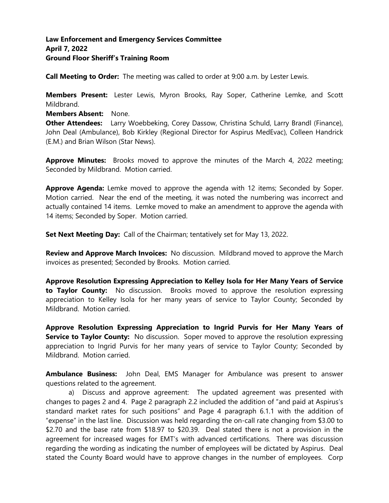### **Law Enforcement and Emergency Services Committee April 7, 2022 Ground Floor Sheriff's Training Room**

**Call Meeting to Order:** The meeting was called to order at 9:00 a.m. by Lester Lewis.

**Members Present:** Lester Lewis, Myron Brooks, Ray Soper, Catherine Lemke, and Scott Mildbrand.

**Members Absent:** None.

**Other Attendees:** Larry Woebbeking, Corey Dassow, Christina Schuld, Larry Brandl (Finance), John Deal (Ambulance), Bob Kirkley (Regional Director for Aspirus MedEvac), Colleen Handrick (E.M.) and Brian Wilson (Star News).

**Approve Minutes:** Brooks moved to approve the minutes of the March 4, 2022 meeting; Seconded by Mildbrand. Motion carried.

**Approve Agenda:** Lemke moved to approve the agenda with 12 items; Seconded by Soper. Motion carried. Near the end of the meeting, it was noted the numbering was incorrect and actually contained 14 items. Lemke moved to make an amendment to approve the agenda with 14 items; Seconded by Soper. Motion carried.

**Set Next Meeting Day:** Call of the Chairman; tentatively set for May 13, 2022.

**Review and Approve March Invoices:** No discussion. Mildbrand moved to approve the March invoices as presented; Seconded by Brooks. Motion carried.

**Approve Resolution Expressing Appreciation to Kelley Isola for Her Many Years of Service to Taylor County:** No discussion. Brooks moved to approve the resolution expressing appreciation to Kelley Isola for her many years of service to Taylor County; Seconded by Mildbrand. Motion carried.

**Approve Resolution Expressing Appreciation to Ingrid Purvis for Her Many Years of Service to Taylor County:** No discussion. Soper moved to approve the resolution expressing appreciation to Ingrid Purvis for her many years of service to Taylor County; Seconded by Mildbrand. Motion carried.

**Ambulance Business:** John Deal, EMS Manager for Ambulance was present to answer questions related to the agreement.

a) Discuss and approve agreement: The updated agreement was presented with changes to pages 2 and 4. Page 2 paragraph 2.2 included the addition of "and paid at Aspirus's standard market rates for such positions" and Page 4 paragraph 6.1.1 with the addition of "expense" in the last line. Discussion was held regarding the on-call rate changing from \$3.00 to \$2.70 and the base rate from \$18.97 to \$20.39. Deal stated there is not a provision in the agreement for increased wages for EMT's with advanced certifications. There was discussion regarding the wording as indicating the number of employees will be dictated by Aspirus. Deal stated the County Board would have to approve changes in the number of employees. Corp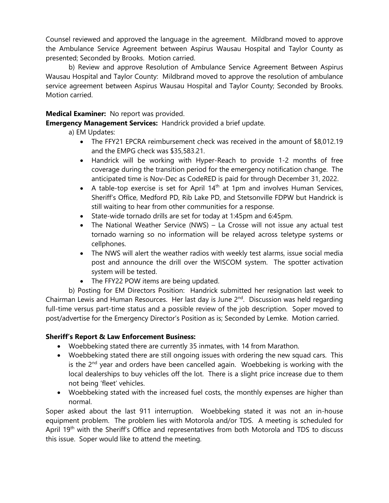Counsel reviewed and approved the language in the agreement. Mildbrand moved to approve the Ambulance Service Agreement between Aspirus Wausau Hospital and Taylor County as presented; Seconded by Brooks. Motion carried.

b) Review and approve Resolution of Ambulance Service Agreement Between Aspirus Wausau Hospital and Taylor County: Mildbrand moved to approve the resolution of ambulance service agreement between Aspirus Wausau Hospital and Taylor County; Seconded by Brooks. Motion carried.

### **Medical Examiner:** No report was provided.

**Emergency Management Services:** Handrick provided a brief update.

- a) EM Updates:
	- The FFY21 EPCRA reimbursement check was received in the amount of \$8,012.19 and the EMPG check was \$35,583.21.
	- Handrick will be working with Hyper-Reach to provide 1-2 months of free coverage during the transition period for the emergency notification change. The anticipated time is Nov-Dec as CodeRED is paid for through December 31, 2022.
	- A table-top exercise is set for April  $14<sup>th</sup>$  at 1pm and involves Human Services, Sheriff's Office, Medford PD, Rib Lake PD, and Stetsonville FDPW but Handrick is still waiting to hear from other communities for a response.
	- State-wide tornado drills are set for today at 1:45pm and 6:45pm.
	- The National Weather Service (NWS) La Crosse will not issue any actual test tornado warning so no information will be relayed across teletype systems or cellphones.
	- The NWS will alert the weather radios with weekly test alarms, issue social media post and announce the drill over the WISCOM system. The spotter activation system will be tested.
	- The FFY22 POW items are being updated.

b) Posting for EM Directors Position: Handrick submitted her resignation last week to Chairman Lewis and Human Resources. Her last day is June 2<sup>nd</sup>. Discussion was held regarding full-time versus part-time status and a possible review of the job description. Soper moved to post/advertise for the Emergency Director's Position as is; Seconded by Lemke. Motion carried.

# **Sheriff's Report & Law Enforcement Business:**

- Woebbeking stated there are currently 35 inmates, with 14 from Marathon.
- Woebbeking stated there are still ongoing issues with ordering the new squad cars. This is the 2<sup>nd</sup> year and orders have been cancelled again. Woebbeking is working with the local dealerships to buy vehicles off the lot. There is a slight price increase due to them not being 'fleet' vehicles.
- Woebbeking stated with the increased fuel costs, the monthly expenses are higher than normal.

Soper asked about the last 911 interruption. Woebbeking stated it was not an in-house equipment problem. The problem lies with Motorola and/or TDS. A meeting is scheduled for April 19<sup>th</sup> with the Sheriff's Office and representatives from both Motorola and TDS to discuss this issue. Soper would like to attend the meeting.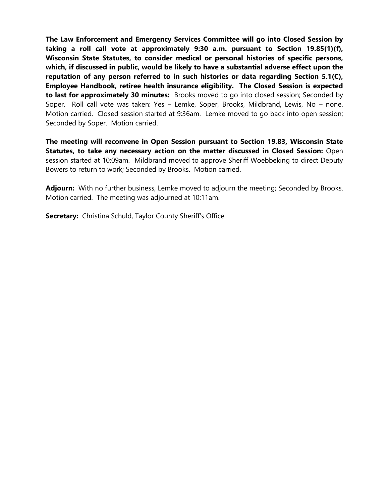**The Law Enforcement and Emergency Services Committee will go into Closed Session by taking a roll call vote at approximately 9:30 a.m. pursuant to Section 19.85(1)(f), Wisconsin State Statutes, to consider medical or personal histories of specific persons, which, if discussed in public, would be likely to have a substantial adverse effect upon the reputation of any person referred to in such histories or data regarding Section 5.1(C), Employee Handbook, retiree health insurance eligibility. The Closed Session is expected to last for approximately 30 minutes:** Brooks moved to go into closed session; Seconded by Soper. Roll call vote was taken: Yes – Lemke, Soper, Brooks, Mildbrand, Lewis, No – none. Motion carried. Closed session started at 9:36am. Lemke moved to go back into open session; Seconded by Soper. Motion carried.

**The meeting will reconvene in Open Session pursuant to Section 19.83, Wisconsin State Statutes, to take any necessary action on the matter discussed in Closed Session:** Open session started at 10:09am. Mildbrand moved to approve Sheriff Woebbeking to direct Deputy Bowers to return to work; Seconded by Brooks. Motion carried.

Adjourn: With no further business, Lemke moved to adjourn the meeting; Seconded by Brooks. Motion carried. The meeting was adjourned at 10:11am.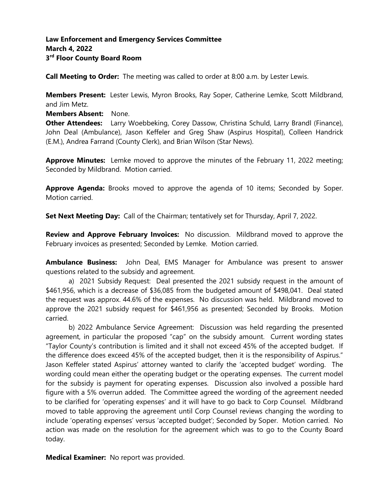# **Law Enforcement and Emergency Services Committee March 4, 2022 3 rd Floor County Board Room**

**Call Meeting to Order:** The meeting was called to order at 8:00 a.m. by Lester Lewis.

**Members Present:** Lester Lewis, Myron Brooks, Ray Soper, Catherine Lemke, Scott Mildbrand, and Jim Metz.

**Members Absent:** None.

**Other Attendees:** Larry Woebbeking, Corey Dassow, Christina Schuld, Larry Brandl (Finance), John Deal (Ambulance), Jason Keffeler and Greg Shaw (Aspirus Hospital), Colleen Handrick (E.M.), Andrea Farrand (County Clerk), and Brian Wilson (Star News).

**Approve Minutes:** Lemke moved to approve the minutes of the February 11, 2022 meeting; Seconded by Mildbrand. Motion carried.

**Approve Agenda:** Brooks moved to approve the agenda of 10 items; Seconded by Soper. Motion carried.

**Set Next Meeting Day:** Call of the Chairman; tentatively set for Thursday, April 7, 2022.

**Review and Approve February Invoices:** No discussion. Mildbrand moved to approve the February invoices as presented; Seconded by Lemke. Motion carried.

**Ambulance Business:** John Deal, EMS Manager for Ambulance was present to answer questions related to the subsidy and agreement.

a) 2021 Subsidy Request: Deal presented the 2021 subsidy request in the amount of \$461,956, which is a decrease of \$36,085 from the budgeted amount of \$498,041. Deal stated the request was approx. 44.6% of the expenses. No discussion was held. Mildbrand moved to approve the 2021 subsidy request for \$461,956 as presented; Seconded by Brooks. Motion carried.

b) 2022 Ambulance Service Agreement: Discussion was held regarding the presented agreement, in particular the proposed "cap" on the subsidy amount. Current wording states "Taylor County's contribution is limited and it shall not exceed 45% of the accepted budget. If the difference does exceed 45% of the accepted budget, then it is the responsibility of Aspirus." Jason Keffeler stated Aspirus' attorney wanted to clarify the 'accepted budget' wording. The wording could mean either the operating budget or the operating expenses. The current model for the subsidy is payment for operating expenses. Discussion also involved a possible hard figure with a 5% overrun added. The Committee agreed the wording of the agreement needed to be clarified for 'operating expenses' and it will have to go back to Corp Counsel. Mildbrand moved to table approving the agreement until Corp Counsel reviews changing the wording to include 'operating expenses' versus 'accepted budget'; Seconded by Soper. Motion carried. No action was made on the resolution for the agreement which was to go to the County Board today.

**Medical Examiner:** No report was provided.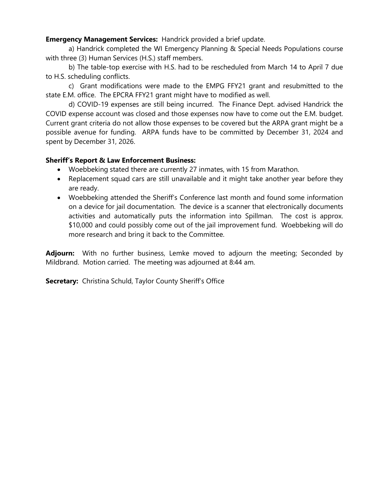**Emergency Management Services:** Handrick provided a brief update.

a) Handrick completed the WI Emergency Planning & Special Needs Populations course with three (3) Human Services (H.S.) staff members.

b) The table-top exercise with H.S. had to be rescheduled from March 14 to April 7 due to H.S. scheduling conflicts.

c) Grant modifications were made to the EMPG FFY21 grant and resubmitted to the state E.M. office. The EPCRA FFY21 grant might have to modified as well.

d) COVID-19 expenses are still being incurred. The Finance Dept. advised Handrick the COVID expense account was closed and those expenses now have to come out the E.M. budget. Current grant criteria do not allow those expenses to be covered but the ARPA grant might be a possible avenue for funding. ARPA funds have to be committed by December 31, 2024 and spent by December 31, 2026.

#### **Sheriff's Report & Law Enforcement Business:**

- Woebbeking stated there are currently 27 inmates, with 15 from Marathon.
- Replacement squad cars are still unavailable and it might take another year before they are ready.
- Woebbeking attended the Sheriff's Conference last month and found some information on a device for jail documentation. The device is a scanner that electronically documents activities and automatically puts the information into Spillman. The cost is approx. \$10,000 and could possibly come out of the jail improvement fund. Woebbeking will do more research and bring it back to the Committee.

**Adjourn:** With no further business, Lemke moved to adjourn the meeting; Seconded by Mildbrand. Motion carried. The meeting was adjourned at 8:44 am.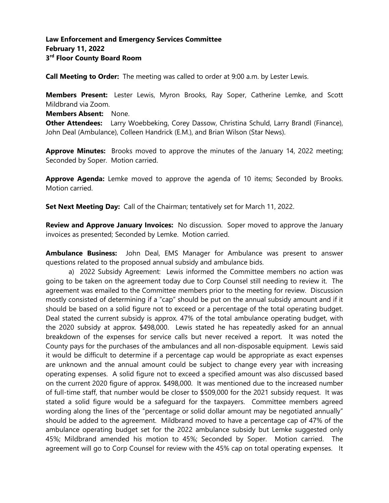# **Law Enforcement and Emergency Services Committee February 11, 2022 3 rd Floor County Board Room**

**Call Meeting to Order:** The meeting was called to order at 9:00 a.m. by Lester Lewis.

**Members Present:** Lester Lewis, Myron Brooks, Ray Soper, Catherine Lemke, and Scott Mildbrand via Zoom.

**Members Absent:** None.

**Other Attendees:** Larry Woebbeking, Corey Dassow, Christina Schuld, Larry Brandl (Finance), John Deal (Ambulance), Colleen Handrick (E.M.), and Brian Wilson (Star News).

**Approve Minutes:** Brooks moved to approve the minutes of the January 14, 2022 meeting; Seconded by Soper. Motion carried.

**Approve Agenda:** Lemke moved to approve the agenda of 10 items; Seconded by Brooks. Motion carried.

**Set Next Meeting Day:** Call of the Chairman; tentatively set for March 11, 2022.

**Review and Approve January Invoices:** No discussion. Soper moved to approve the January invoices as presented; Seconded by Lemke. Motion carried.

**Ambulance Business:** John Deal, EMS Manager for Ambulance was present to answer questions related to the proposed annual subsidy and ambulance bids.

a) 2022 Subsidy Agreement: Lewis informed the Committee members no action was going to be taken on the agreement today due to Corp Counsel still needing to review it. The agreement was emailed to the Committee members prior to the meeting for review. Discussion mostly consisted of determining if a "cap" should be put on the annual subsidy amount and if it should be based on a solid figure not to exceed or a percentage of the total operating budget. Deal stated the current subsidy is approx. 47% of the total ambulance operating budget, with the 2020 subsidy at approx. \$498,000. Lewis stated he has repeatedly asked for an annual breakdown of the expenses for service calls but never received a report. It was noted the County pays for the purchases of the ambulances and all non-disposable equipment. Lewis said it would be difficult to determine if a percentage cap would be appropriate as exact expenses are unknown and the annual amount could be subject to change every year with increasing operating expenses. A solid figure not to exceed a specified amount was also discussed based on the current 2020 figure of approx. \$498,000. It was mentioned due to the increased number of full-time staff, that number would be closer to \$509,000 for the 2021 subsidy request. It was stated a solid figure would be a safeguard for the taxpayers. Committee members agreed wording along the lines of the "percentage or solid dollar amount may be negotiated annually" should be added to the agreement. Mildbrand moved to have a percentage cap of 47% of the ambulance operating budget set for the 2022 ambulance subsidy but Lemke suggested only 45%; Mildbrand amended his motion to 45%; Seconded by Soper. Motion carried. The agreement will go to Corp Counsel for review with the 45% cap on total operating expenses. It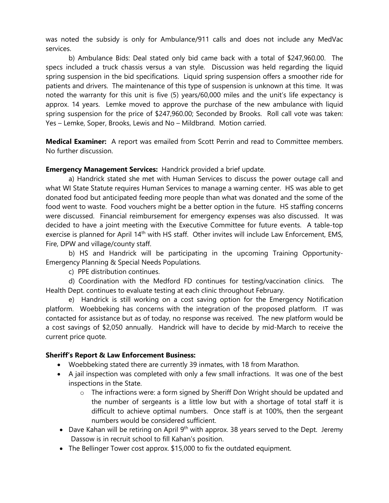was noted the subsidy is only for Ambulance/911 calls and does not include any MedVac services.

b) Ambulance Bids: Deal stated only bid came back with a total of \$247,960.00. The specs included a truck chassis versus a van style. Discussion was held regarding the liquid spring suspension in the bid specifications. Liquid spring suspension offers a smoother ride for patients and drivers. The maintenance of this type of suspension is unknown at this time. It was noted the warranty for this unit is five (5) years/60,000 miles and the unit's life expectancy is approx. 14 years. Lemke moved to approve the purchase of the new ambulance with liquid spring suspension for the price of \$247,960.00; Seconded by Brooks. Roll call vote was taken: Yes – Lemke, Soper, Brooks, Lewis and No – Mildbrand. Motion carried.

**Medical Examiner:** A report was emailed from Scott Perrin and read to Committee members. No further discussion.

**Emergency Management Services:** Handrick provided a brief update.

a) Handrick stated she met with Human Services to discuss the power outage call and what WI State Statute requires Human Services to manage a warning center. HS was able to get donated food but anticipated feeding more people than what was donated and the some of the food went to waste. Food vouchers might be a better option in the future. HS staffing concerns were discussed. Financial reimbursement for emergency expenses was also discussed. It was decided to have a joint meeting with the Executive Committee for future events. A table-top exercise is planned for April 14<sup>th</sup> with HS staff. Other invites will include Law Enforcement, EMS, Fire, DPW and village/county staff.

b) HS and Handrick will be participating in the upcoming Training Opportunity-Emergency Planning & Special Needs Populations.

c) PPE distribution continues.

d) Coordination with the Medford FD continues for testing/vaccination clinics. The Health Dept. continues to evaluate testing at each clinic throughout February.

e) Handrick is still working on a cost saving option for the Emergency Notification platform. Woebbeking has concerns with the integration of the proposed platform. IT was contacted for assistance but as of today, no response was received. The new platform would be a cost savings of \$2,050 annually. Handrick will have to decide by mid-March to receive the current price quote.

# **Sheriff's Report & Law Enforcement Business:**

- Woebbeking stated there are currently 39 inmates, with 18 from Marathon.
- A jail inspection was completed with only a few small infractions. It was one of the best inspections in the State.
	- $\circ$  The infractions were: a form signed by Sheriff Don Wright should be updated and the number of sergeants is a little low but with a shortage of total staff it is difficult to achieve optimal numbers. Once staff is at 100%, then the sergeant numbers would be considered sufficient.
- Dave Kahan will be retiring on April  $9<sup>th</sup>$  with approx. 38 years served to the Dept. Jeremy Dassow is in recruit school to fill Kahan's position.
- The Bellinger Tower cost approx. \$15,000 to fix the outdated equipment.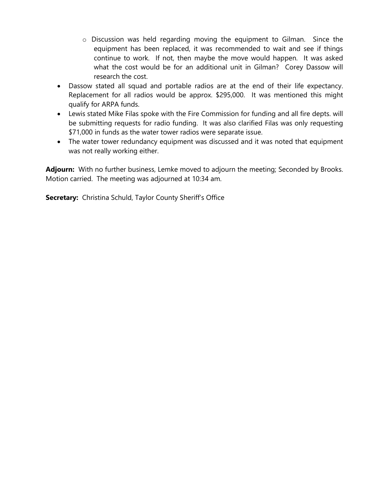- o Discussion was held regarding moving the equipment to Gilman. Since the equipment has been replaced, it was recommended to wait and see if things continue to work. If not, then maybe the move would happen. It was asked what the cost would be for an additional unit in Gilman? Corey Dassow will research the cost.
- Dassow stated all squad and portable radios are at the end of their life expectancy. Replacement for all radios would be approx. \$295,000. It was mentioned this might qualify for ARPA funds.
- Lewis stated Mike Filas spoke with the Fire Commission for funding and all fire depts. will be submitting requests for radio funding. It was also clarified Filas was only requesting \$71,000 in funds as the water tower radios were separate issue.
- The water tower redundancy equipment was discussed and it was noted that equipment was not really working either.

Adjourn: With no further business, Lemke moved to adjourn the meeting; Seconded by Brooks. Motion carried. The meeting was adjourned at 10:34 am.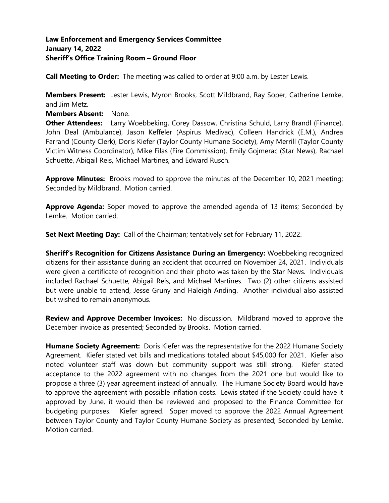### **Law Enforcement and Emergency Services Committee January 14, 2022 Sheriff's Office Training Room – Ground Floor**

**Call Meeting to Order:** The meeting was called to order at 9:00 a.m. by Lester Lewis.

**Members Present:** Lester Lewis, Myron Brooks, Scott Mildbrand, Ray Soper, Catherine Lemke, and Jim Metz.

#### **Members Absent:** None.

**Other Attendees:** Larry Woebbeking, Corey Dassow, Christina Schuld, Larry Brandl (Finance), John Deal (Ambulance), Jason Keffeler (Aspirus Medivac), Colleen Handrick (E.M.), Andrea Farrand (County Clerk), Doris Kiefer (Taylor County Humane Society), Amy Merrill (Taylor County Victim Witness Coordinator), Mike Filas (Fire Commission), Emily Gojmerac (Star News), Rachael Schuette, Abigail Reis, Michael Martines, and Edward Rusch.

**Approve Minutes:** Brooks moved to approve the minutes of the December 10, 2021 meeting; Seconded by Mildbrand. Motion carried.

**Approve Agenda:** Soper moved to approve the amended agenda of 13 items; Seconded by Lemke. Motion carried.

**Set Next Meeting Day:** Call of the Chairman; tentatively set for February 11, 2022.

**Sheriff's Recognition for Citizens Assistance During an Emergency:** Woebbeking recognized citizens for their assistance during an accident that occurred on November 24, 2021. Individuals were given a certificate of recognition and their photo was taken by the Star News. Individuals included Rachael Schuette, Abigail Reis, and Michael Martines. Two (2) other citizens assisted but were unable to attend, Jesse Gruny and Haleigh Anding. Another individual also assisted but wished to remain anonymous.

**Review and Approve December Invoices:** No discussion. Mildbrand moved to approve the December invoice as presented; Seconded by Brooks. Motion carried.

**Humane Society Agreement:** Doris Kiefer was the representative for the 2022 Humane Society Agreement. Kiefer stated vet bills and medications totaled about \$45,000 for 2021. Kiefer also noted volunteer staff was down but community support was still strong. Kiefer stated acceptance to the 2022 agreement with no changes from the 2021 one but would like to propose a three (3) year agreement instead of annually. The Humane Society Board would have to approve the agreement with possible inflation costs. Lewis stated if the Society could have it approved by June, it would then be reviewed and proposed to the Finance Committee for budgeting purposes. Kiefer agreed. Soper moved to approve the 2022 Annual Agreement between Taylor County and Taylor County Humane Society as presented; Seconded by Lemke. Motion carried.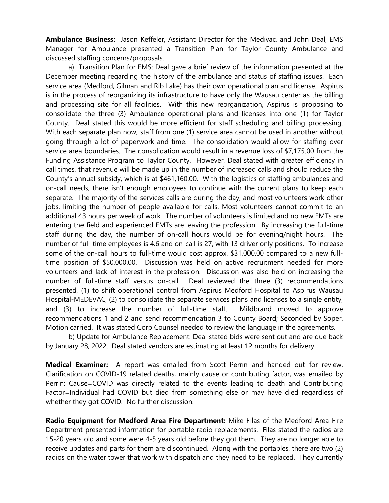**Ambulance Business:** Jason Keffeler, Assistant Director for the Medivac, and John Deal, EMS Manager for Ambulance presented a Transition Plan for Taylor County Ambulance and discussed staffing concerns/proposals.

a) Transition Plan for EMS: Deal gave a brief review of the information presented at the December meeting regarding the history of the ambulance and status of staffing issues. Each service area (Medford, Gilman and Rib Lake) has their own operational plan and license. Aspirus is in the process of reorganizing its infrastructure to have only the Wausau center as the billing and processing site for all facilities. With this new reorganization, Aspirus is proposing to consolidate the three (3) Ambulance operational plans and licenses into one (1) for Taylor County. Deal stated this would be more efficient for staff scheduling and billing processing. With each separate plan now, staff from one (1) service area cannot be used in another without going through a lot of paperwork and time. The consolidation would allow for staffing over service area boundaries. The consolidation would result in a revenue loss of \$7,175.00 from the Funding Assistance Program to Taylor County. However, Deal stated with greater efficiency in call times, that revenue will be made up in the number of increased calls and should reduce the County's annual subsidy, which is at \$461,160.00. With the logistics of staffing ambulances and on-call needs, there isn't enough employees to continue with the current plans to keep each separate. The majority of the services calls are during the day, and most volunteers work other jobs, limiting the number of people available for calls. Most volunteers cannot commit to an additional 43 hours per week of work. The number of volunteers is limited and no new EMTs are entering the field and experienced EMTs are leaving the profession. By increasing the full-time staff during the day, the number of on-call hours would be for evening/night hours. The number of full-time employees is 4.6 and on-call is 27, with 13 driver only positions. To increase some of the on-call hours to full-time would cost approx. \$31,000.00 compared to a new fulltime position of \$50,000.00. Discussion was held on active recruitment needed for more volunteers and lack of interest in the profession. Discussion was also held on increasing the number of full-time staff versus on-call. Deal reviewed the three (3) recommendations presented, (1) to shift operational control from Aspirus Medford Hospital to Aspirus Wausau Hospital-MEDEVAC, (2) to consolidate the separate services plans and licenses to a single entity, and (3) to increase the number of full-time staff. Mildbrand moved to approve recommendations 1 and 2 and send recommendation 3 to County Board; Seconded by Soper. Motion carried. It was stated Corp Counsel needed to review the language in the agreements.

b) Update for Ambulance Replacement: Deal stated bids were sent out and are due back by January 28, 2022. Deal stated vendors are estimating at least 12 months for delivery.

**Medical Examiner:** A report was emailed from Scott Perrin and handed out for review. Clarification on COVID-19 related deaths, mainly cause or contributing factor, was emailed by Perrin: Cause=COVID was directly related to the events leading to death and Contributing Factor=Individual had COVID but died from something else or may have died regardless of whether they got COVID. No further discussion.

**Radio Equipment for Medford Area Fire Department:** Mike Filas of the Medford Area Fire Department presented information for portable radio replacements. Filas stated the radios are 15-20 years old and some were 4-5 years old before they got them. They are no longer able to receive updates and parts for them are discontinued. Along with the portables, there are two (2) radios on the water tower that work with dispatch and they need to be replaced. They currently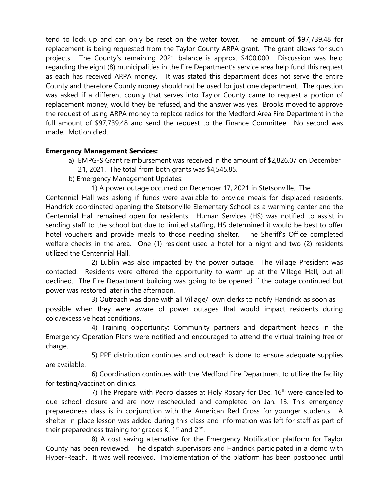tend to lock up and can only be reset on the water tower. The amount of \$97,739.48 for replacement is being requested from the Taylor County ARPA grant. The grant allows for such projects. The County's remaining 2021 balance is approx. \$400,000. Discussion was held regarding the eight (8) municipalities in the Fire Department's service area help fund this request as each has received ARPA money. It was stated this department does not serve the entire County and therefore County money should not be used for just one department. The question was asked if a different county that serves into Taylor County came to request a portion of replacement money, would they be refused, and the answer was yes. Brooks moved to approve the request of using ARPA money to replace radios for the Medford Area Fire Department in the full amount of \$97,739.48 and send the request to the Finance Committee. No second was made. Motion died.

### **Emergency Management Services:**

- a) EMPG-S Grant reimbursement was received in the amount of \$2,826.07 on December 21, 2021. The total from both grants was \$4,545.85.
- b) Emergency Management Updates:
	- 1) A power outage occurred on December 17, 2021 in Stetsonville. The

Centennial Hall was asking if funds were available to provide meals for displaced residents. Handrick coordinated opening the Stetsonville Elementary School as a warming center and the Centennial Hall remained open for residents. Human Services (HS) was notified to assist in sending staff to the school but due to limited staffing, HS determined it would be best to offer hotel vouchers and provide meals to those needing shelter. The Sheriff's Office completed welfare checks in the area. One (1) resident used a hotel for a night and two (2) residents utilized the Centennial Hall.

 2) Lublin was also impacted by the power outage. The Village President was contacted. Residents were offered the opportunity to warm up at the Village Hall, but all declined. The Fire Department building was going to be opened if the outage continued but power was restored later in the afternoon.

3) Outreach was done with all Village/Town clerks to notify Handrick as soon as possible when they were aware of power outages that would impact residents during cold/excessive heat conditions.

 4) Training opportunity: Community partners and department heads in the Emergency Operation Plans were notified and encouraged to attend the virtual training free of charge.

 5) PPE distribution continues and outreach is done to ensure adequate supplies are available.

 6) Coordination continues with the Medford Fire Department to utilize the facility for testing/vaccination clinics.

7) The Prepare with Pedro classes at Holy Rosary for Dec.  $16<sup>th</sup>$  were cancelled to due school closure and are now rescheduled and completed on Jan. 13. This emergency preparedness class is in conjunction with the American Red Cross for younger students. A shelter-in-place lesson was added during this class and information was left for staff as part of their preparedness training for grades K, 1<sup>st</sup> and 2<sup>nd</sup>.

 8) A cost saving alternative for the Emergency Notification platform for Taylor County has been reviewed. The dispatch supervisors and Handrick participated in a demo with Hyper-Reach. It was well received. Implementation of the platform has been postponed until